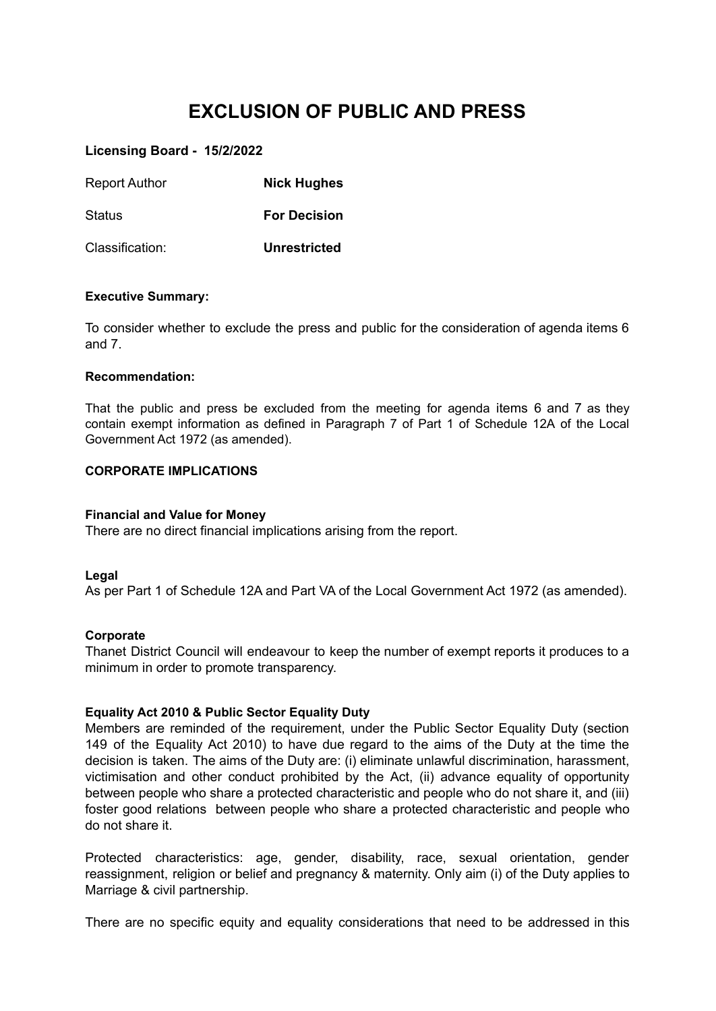# **EXCLUSION OF PUBLIC AND PRESS**

# **Licensing Board - 15/2/2022**

| <b>Report Author</b> | <b>Nick Hughes</b>  |
|----------------------|---------------------|
| Status               | <b>For Decision</b> |
| Classification:      | <b>Unrestricted</b> |

### **Executive Summary:**

To consider whether to exclude the press and public for the consideration of agenda items 6 and 7.

### **Recommendation:**

That the public and press be excluded from the meeting for agenda items 6 and 7 as they contain exempt information as defined in Paragraph 7 of Part 1 of Schedule 12A of the Local Government Act 1972 (as amended).

## **CORPORATE IMPLICATIONS**

## **Financial and Value for Money**

There are no direct financial implications arising from the report.

### **Legal**

As per Part 1 of Schedule 12A and Part VA of the Local Government Act 1972 (as amended).

#### **Corporate**

Thanet District Council will endeavour to keep the number of exempt reports it produces to a minimum in order to promote transparency.

## **Equality Act 2010 & Public Sector Equality Duty**

Members are reminded of the requirement, under the Public Sector Equality Duty (section 149 of the Equality Act 2010) to have due regard to the aims of the Duty at the time the decision is taken. The aims of the Duty are: (i) eliminate unlawful discrimination, harassment, victimisation and other conduct prohibited by the Act, (ii) advance equality of opportunity between people who share a protected characteristic and people who do not share it, and (iii) foster good relations between people who share a protected characteristic and people who do not share it.

Protected characteristics: age, gender, disability, race, sexual orientation, gender reassignment, religion or belief and pregnancy & maternity. Only aim (i) of the Duty applies to Marriage & civil partnership.

There are no specific equity and equality considerations that need to be addressed in this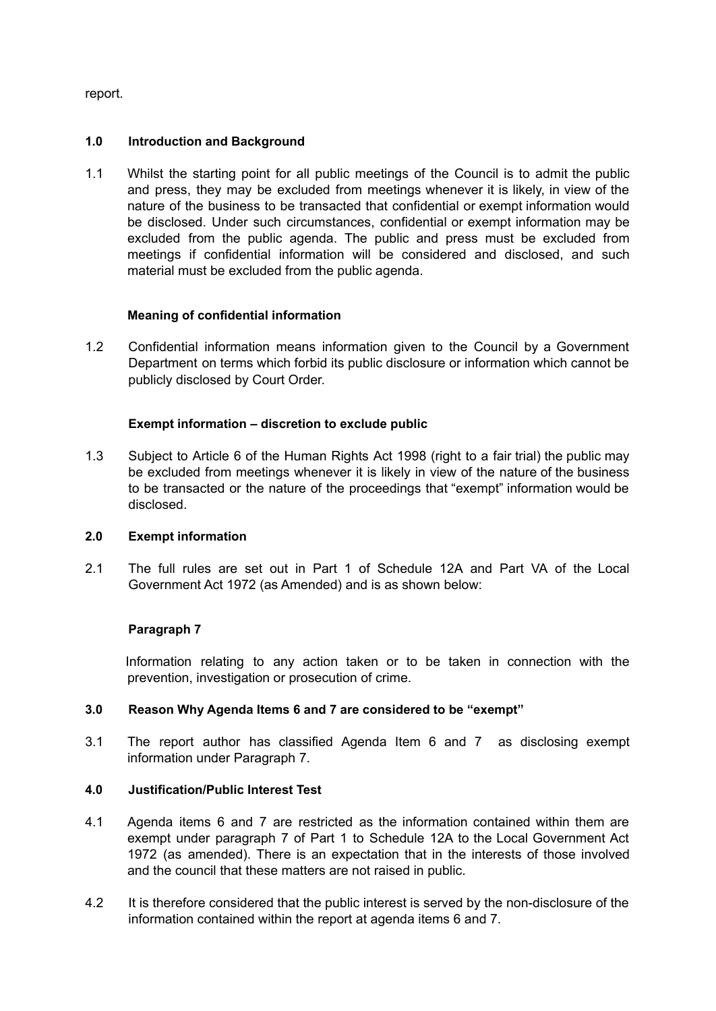report.

# **1.0 Introduction and Background**

1.1 Whilst the starting point for all public meetings of the Council is to admit the public and press, they may be excluded from meetings whenever it is likely, in view of the nature of the business to be transacted that confidential or exempt information would be disclosed. Under such circumstances, confidential or exempt information may be excluded from the public agenda. The public and press must be excluded from meetings if confidential information will be considered and disclosed, and such material must be excluded from the public agenda.

# **Meaning of confidential information**

1.2 Confidential information means information given to the Council by a Government Department on terms which forbid its public disclosure or information which cannot be publicly disclosed by Court Order.

# **Exempt information – discretion to exclude public**

1.3 Subject to Article 6 of the Human Rights Act 1998 (right to a fair trial) the public may be excluded from meetings whenever it is likely in view of the nature of the business to be transacted or the nature of the proceedings that "exempt" information would be disclosed.

# **2.0 Exempt information**

2.1 The full rules are set out in Part 1 of Schedule 12A and Part VA of the Local Government Act 1972 (as Amended) and is as shown below:

# **Paragraph 7**

Information relating to any action taken or to be taken in connection with the prevention, investigation or prosecution of crime.

# **3.0 Reason Why Agenda Items 6 and 7 are considered to be "exempt"**

3.1 The report author has classified Agenda Item 6 and 7 as disclosing exempt information under Paragraph 7.

# **4.0 Justification/Public Interest Test**

- 4.1 Agenda items 6 and 7 are restricted as the information contained within them are exempt under paragraph 7 of Part 1 to Schedule 12A to the Local Government Act 1972 (as amended). There is an expectation that in the interests of those involved and the council that these matters are not raised in public.
- 4.2 It is therefore considered that the public interest is served by the non-disclosure of the information contained within the report at agenda items 6 and 7.